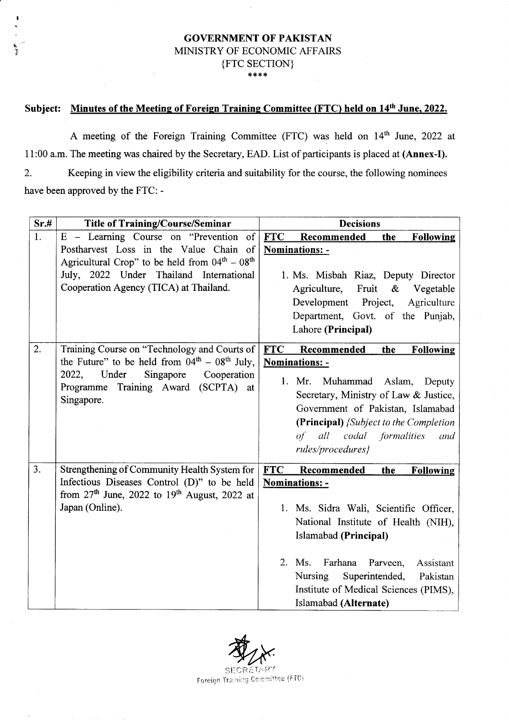### GOVERNMENT OF PAKISTAN MINISTRY OF ECONOMIC AFFAIRS {Frc sECrroN} \*\*\*\*

## Subject: Minutes of the Meeting of Foreign Training Committee (FTC) held on 14<sup>th</sup> June, 2022.

 $\epsilon$  rl

> A meeting of the Foreign Training Committee (FTC) was held on 14<sup>th</sup> June, 2022 at 11:00 a.m. The meeting was chaired by the Secretary, EAD. List of participants is placed at (Annex-I). 2. Keeping in view the eligibility criteria and suitability for the course, the following nominees have been approved by the FTC: -

| Sr.# | <b>Title of Training/Course/Seminar</b>                                                                                                                                                            | <b>Decisions</b>                                                                                                                                                                                                                                                                                                                                 |
|------|----------------------------------------------------------------------------------------------------------------------------------------------------------------------------------------------------|--------------------------------------------------------------------------------------------------------------------------------------------------------------------------------------------------------------------------------------------------------------------------------------------------------------------------------------------------|
| 1.   | $E$ – Learning Course on "Prevention<br>of                                                                                                                                                         | <b>FTC</b><br>Recommended<br>the<br><b>Following</b>                                                                                                                                                                                                                                                                                             |
|      | Postharvest Loss in the Value Chain of<br>Agricultural Crop" to be held from $04th - 08th$<br>July, 2022 Under Thailand International<br>Cooperation Agency (TICA) at Thailand.                    | Nominations: -<br>1. Ms. Misbah Riaz, Deputy Director<br>Agriculture, Fruit<br>$\&$<br>Vegetable<br>Development<br>Project,<br>Agriculture<br>Department, Govt. of the Punjab,<br>Lahore (Principal)                                                                                                                                             |
| 2.   | Training Course on "Technology and Courts of<br>the Future" to be held from $04th - 08th$ July,<br>Under<br>Singapore<br>2022,<br>Cooperation<br>Programme Training Award (SCPTA) at<br>Singapore. | <b>FTC</b><br>Recommended<br>the<br><b>Following</b><br>Nominations: -<br>1. Mr.<br>Muhammad Aslam, Deputy<br>Secretary, Ministry of Law & Justice,<br>Government of Pakistan, Islamabad<br>(Principal) {Subject to the Completion<br>of all codal formalities<br>and<br>rules/procedures}                                                       |
| 3.   | Strengthening of Community Health System for<br>Infectious Diseases Control (D)" to be held<br>from $27th$ June, 2022 to $19th$ August, 2022 at<br>Japan (Online).                                 | <b>FTC</b><br>Recommended<br><b>Following</b><br>the<br><b>Nominations: -</b><br>1. Ms. Sidra Wali, Scientific Officer,<br>National Institute of Health (NIH),<br>Islamabad (Principal)<br>Farhana<br>2. Ms.<br>Parveen,<br>Assistant<br>Nursing<br>Superintended,<br>Pakistan<br>Institute of Medical Sciences (PIMS),<br>Islamabad (Alternate) |

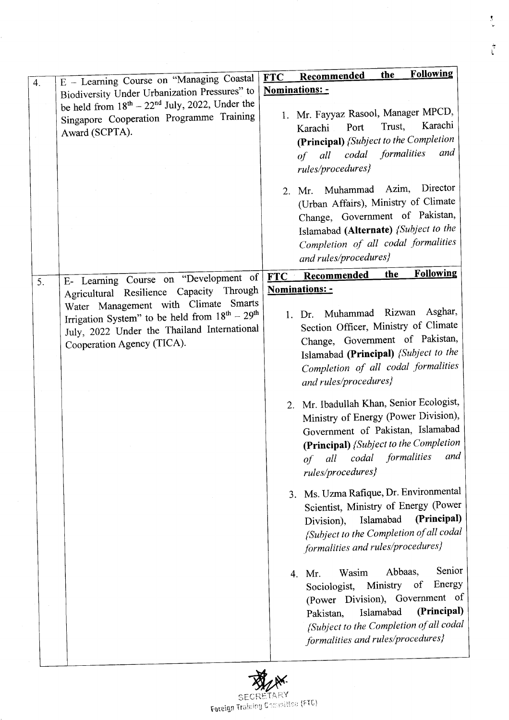|    | E - Learning Course on "Managing Coastal               | <b>Following</b><br>the<br>Recommended<br><b>FTC</b> |
|----|--------------------------------------------------------|------------------------------------------------------|
| 4. | Biodiversity Under Urbanization Pressures" to          | Nominations: -                                       |
|    | be held from $18^{th} - 22^{nd}$ July, 2022, Under the |                                                      |
|    | Singapore Cooperation Programme Training               | 1. Mr. Fayyaz Rasool, Manager MPCD,                  |
|    |                                                        | Karachi<br>Trust,<br>Port<br>Karachi                 |
|    | Award (SCPTA).                                         | (Principal) {Subject to the Completion               |
|    |                                                        | and<br>formalities<br>of all codal                   |
|    |                                                        |                                                      |
|    |                                                        | rules/procedures}                                    |
|    |                                                        | Director<br>Muhammad Azim,<br>2. Mr.                 |
|    |                                                        | (Urban Affairs), Ministry of Climate                 |
|    |                                                        | Change, Government of Pakistan,                      |
|    |                                                        | Islamabad (Alternate) {Subject to the                |
|    |                                                        | Completion of all codal formalities                  |
|    |                                                        |                                                      |
|    |                                                        | and rules/procedures}                                |
| 5. | E- Learning Course on "Development of                  | <b>Following</b><br>the<br>FTC Recommended           |
|    | Agricultural Resilience Capacity Through               | Nominations: -                                       |
|    | Water Management with Climate Smarts                   |                                                      |
|    | Irrigation System" to be held from $18^{th} - 29^{th}$ | Asghar,<br>1. Dr. Muhammad Rizwan                    |
|    | July, 2022 Under the Thailand International            | Section Officer, Ministry of Climate                 |
|    | Cooperation Agency (TICA).                             | Change, Government of Pakistan,                      |
|    |                                                        | Islamabad (Principal) {Subject to the                |
|    |                                                        | Completion of all codal formalities                  |
|    |                                                        | and rules/procedures}                                |
|    |                                                        |                                                      |
|    |                                                        | 2. Mr. Ibadullah Khan, Senior Ecologist,             |
|    |                                                        | Ministry of Energy (Power Division),                 |
|    |                                                        | Government of Pakistan, Islamabad                    |
|    |                                                        | (Principal) {Subject to the Completion               |
|    |                                                        | formalities<br>and<br>codal<br>all<br>of             |
|    |                                                        |                                                      |
|    |                                                        | rules/procedures}                                    |
|    |                                                        | 3. Ms. Uzma Rafique, Dr. Environmental               |
|    |                                                        | Scientist, Ministry of Energy (Power                 |
|    |                                                        | (Principal)<br>Islamabad<br>Division),               |
|    |                                                        | {Subject to the Completion of all codal              |
|    |                                                        |                                                      |
|    |                                                        | formalities and rules/procedures}                    |
|    |                                                        | Senior<br>Abbaas,<br>Wasim                           |
|    |                                                        | 4. Mr.<br>Energy                                     |
|    |                                                        | Sociologist, Ministry of                             |
|    |                                                        | (Power Division), Government of                      |
|    |                                                        | (Principal)<br>Islamabad<br>Pakistan,                |
|    |                                                        | {Subject to the Completion of all codal              |
|    |                                                        |                                                      |
|    |                                                        | formalities and rules/procedures}                    |

I<br>Iv

L

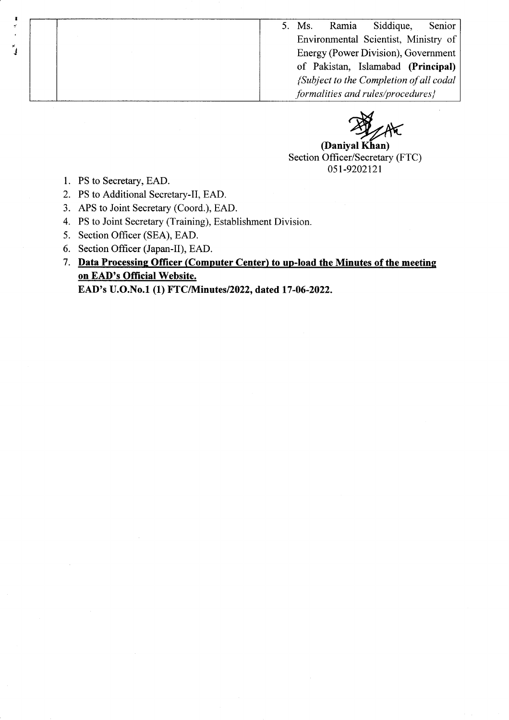5. Ms. Ramia Siddique, Senior Environmental Scientist, Ministry of Energy (Power Division), Government of Pakistan, Islamabad (Principal) {Subject to the Completion of all codal formalities and rules/procedures}

(Daniyal Khan) Section Officer/Secretary (FTC) 051-9202121

1. PS to Secretary, EAD.

I 7

t

- 2. PS to Additional Secretary-Il, EAD.
- 3. APS to Joint Secretary (Coord.), EAD.
- 4. PS to Joint Secretary (Training), Establishment Division.
- 5. Section Officer (SEA), EAD.
- 6. Section Officer (Japan-II), EAD.
- 7. Data Processing Officer (Computer Center) to up-load the Minutes of the meeting on EAD's Official Website.

EAD's U.O.No.1 (1) fTc/NIinutes/2022, dated 17 -06-2022.